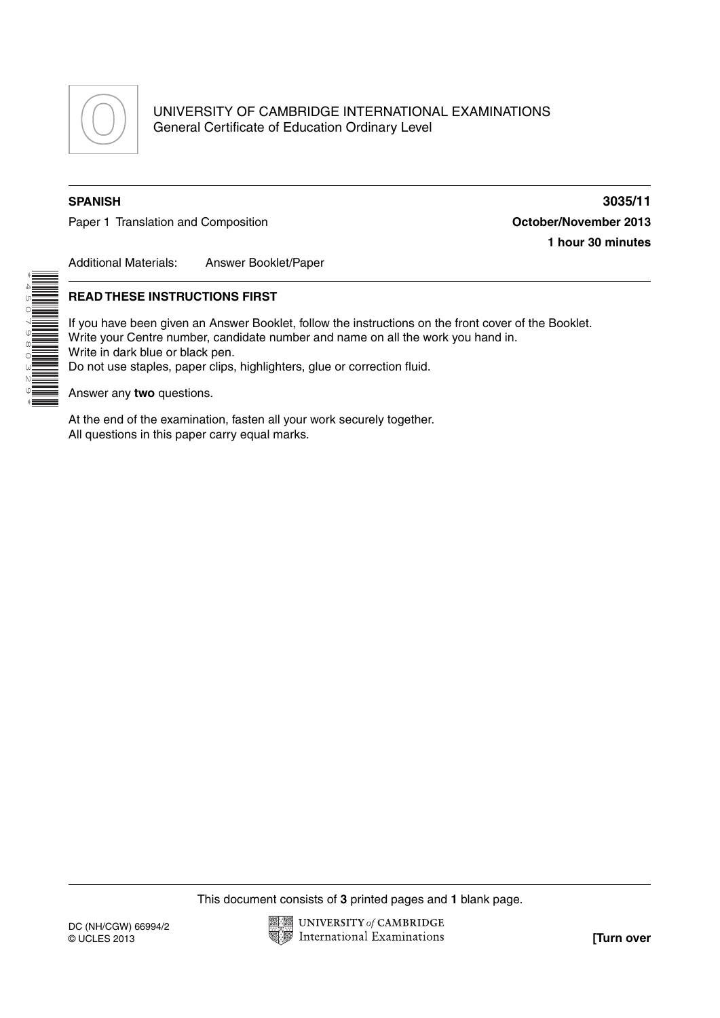

UNIVERSITY OF CAMBRIDGE INTERNATIONAL EXAMINATIONS General Certificate of Education Ordinary Level

\*4507980329\*

Paper 1 Translation and Composition **Composition Composition Composition Composition Composition Composition Composition Composition Composition Composition Composition Composition Composition Com** 

**SPANISH 3035/11 1 hour 30 minutes**

Additional Materials: Answer Booklet/Paper

## **READ THESE INSTRUCTIONS FIRST**

If you have been given an Answer Booklet, follow the instructions on the front cover of the Booklet. Write your Centre number, candidate number and name on all the work you hand in. Write in dark blue or black pen. Do not use staples, paper clips, highlighters, glue or correction fluid.

Answer any **two** questions.

At the end of the examination, fasten all your work securely together. All questions in this paper carry equal marks.

This document consists of **3** printed pages and **1** blank page.

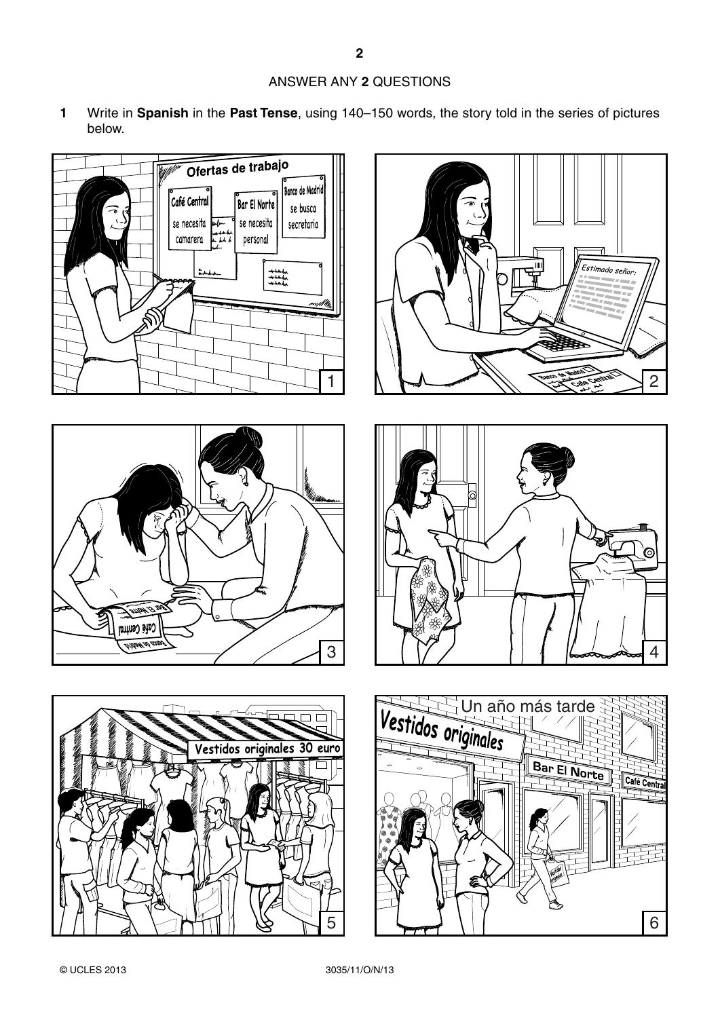## ANSWER ANY **2** QUESTIONS

**1** Write in **Spanish** in the **Past Tense**, using 140–150 words, the story told in the series of pictures below.











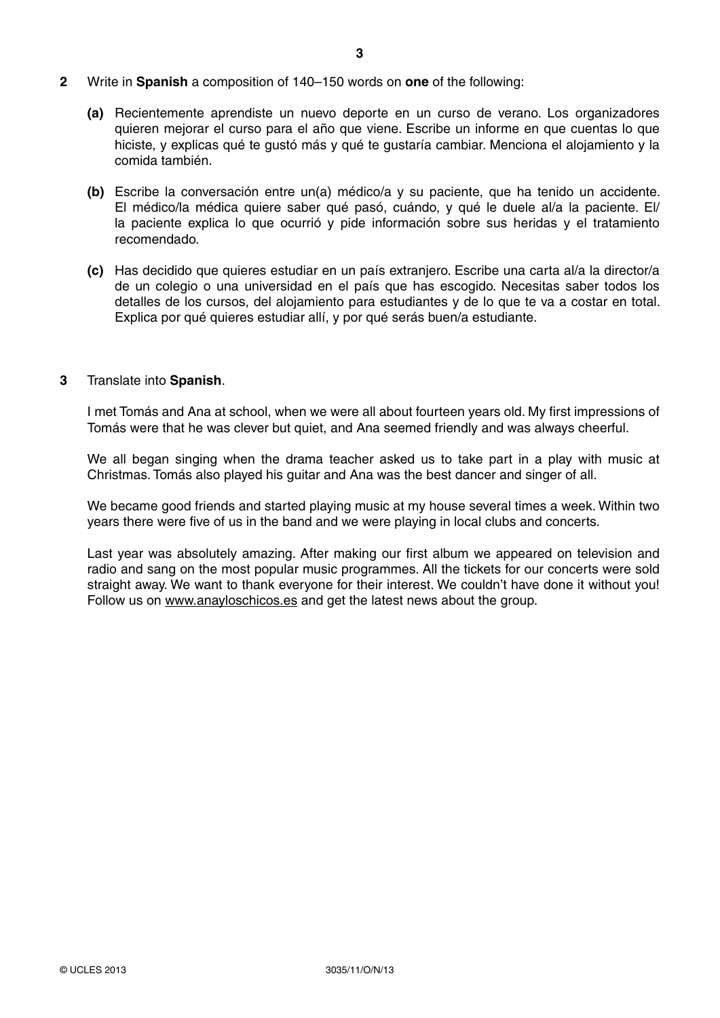- **2** Write in **Spanish** a composition of 140–150 words on **one** of the following:
	- **(a)** Recientemente aprendiste un nuevo deporte en un curso de verano. Los organizadores quieren mejorar el curso para el año que viene. Escribe un informe en que cuentas lo que hiciste, y explicas qué te gustó más y qué te gustaría cambiar. Menciona el alojamiento y la comida también.
	- **(b)** Escribe la conversación entre un(a) médico/a y su paciente, que ha tenido un accidente. El médico/la médica quiere saber qué pasó, cuándo, y qué le duele al/a la paciente. El/ la paciente explica lo que ocurrió y pide información sobre sus heridas y el tratamiento recomendado.
	- **(c)** Has decidido que quieres estudiar en un país extranjero. Escribe una carta al/a la director/a de un colegio o una universidad en el país que has escogido. Necesitas saber todos los detalles de los cursos, del alojamiento para estudiantes y de lo que te va a costar en total. Explica por qué quieres estudiar allí, y por qué serás buen/a estudiante.

## **3** Translate into **Spanish**.

I met Tomás and Ana at school, when we were all about fourteen years old. My first impressions of Tomás were that he was clever but quiet, and Ana seemed friendly and was always cheerful.

We all began singing when the drama teacher asked us to take part in a play with music at Christmas. Tomás also played his guitar and Ana was the best dancer and singer of all.

We became good friends and started playing music at my house several times a week. Within two years there were five of us in the band and we were playing in local clubs and concerts.

Last year was absolutely amazing. After making our first album we appeared on television and radio and sang on the most popular music programmes. All the tickets for our concerts were sold straight away. We want to thank everyone for their interest. We couldn't have done it without you! Follow us on www.anayloschicos.es and get the latest news about the group.